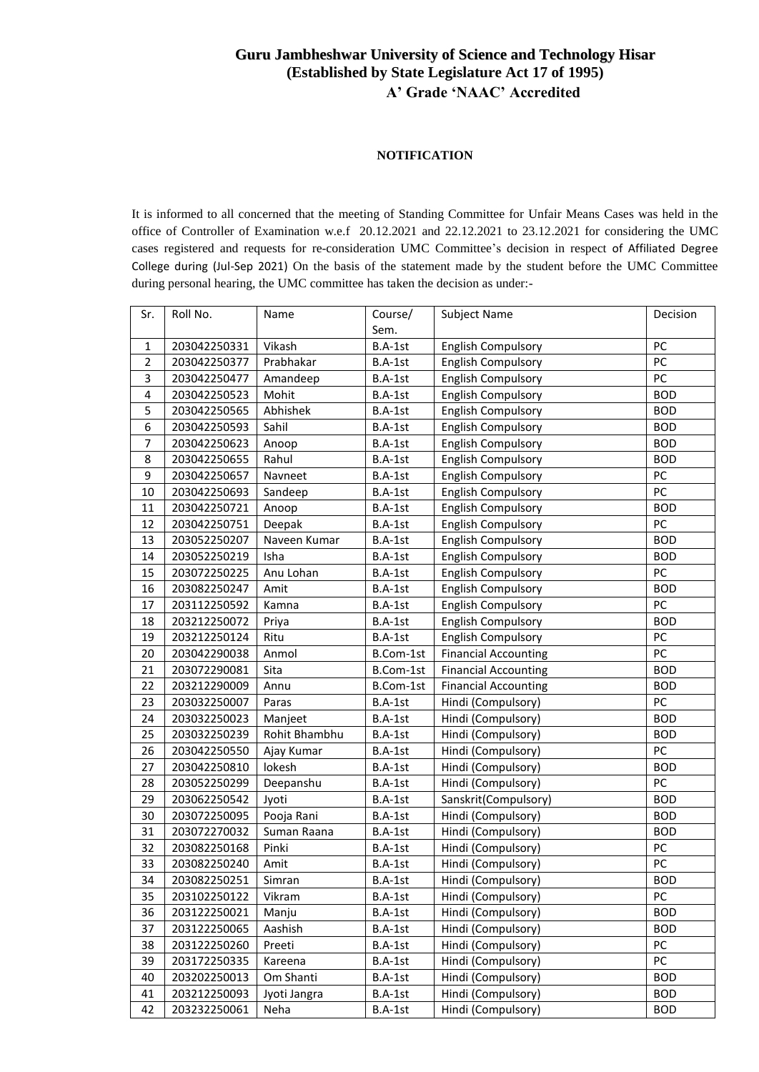# **Guru Jambheshwar University of Science and Technology Hisar (Established by State Legislature Act 17 of 1995) A' Grade 'NAAC' Accredited**

## **NOTIFICATION**

It is informed to all concerned that the meeting of Standing Committee for Unfair Means Cases was held in the office of Controller of Examination w.e.f 20.12.2021 and 22.12.2021 to 23.12.2021 for considering the UMC cases registered and requests for re-consideration UMC Committee's decision in respect of Affiliated Degree College during (Jul-Sep 2021) On the basis of the statement made by the student before the UMC Committee during personal hearing, the UMC committee has taken the decision as under:-

| Sr.            | Roll No.     | Name          | Course/   | <b>Subject Name</b>         | Decision   |
|----------------|--------------|---------------|-----------|-----------------------------|------------|
|                |              |               | Sem.      |                             |            |
| $\mathbf{1}$   | 203042250331 | Vikash        | B.A-1st   | <b>English Compulsory</b>   | PC         |
| $\overline{2}$ | 203042250377 | Prabhakar     | B.A-1st   | <b>English Compulsory</b>   | PC         |
| 3              | 203042250477 | Amandeep      | B.A-1st   | <b>English Compulsory</b>   | PC         |
|                | 203042250523 | Mohit         |           | <b>English Compulsory</b>   | <b>BOD</b> |
| 4              |              |               | B.A-1st   |                             |            |
| 5              | 203042250565 | Abhishek      | B.A-1st   | <b>English Compulsory</b>   | <b>BOD</b> |
| 6              | 203042250593 | Sahil         | B.A-1st   | <b>English Compulsory</b>   | <b>BOD</b> |
| $\overline{7}$ | 203042250623 | Anoop         | B.A-1st   | <b>English Compulsory</b>   | <b>BOD</b> |
| 8              | 203042250655 | Rahul         | B.A-1st   | <b>English Compulsory</b>   | <b>BOD</b> |
| 9              | 203042250657 | Navneet       | B.A-1st   | <b>English Compulsory</b>   | PC         |
| 10             | 203042250693 | Sandeep       | B.A-1st   | <b>English Compulsory</b>   | PC         |
| 11             | 203042250721 | Anoop         | B.A-1st   | English Compulsory          | <b>BOD</b> |
| 12             | 203042250751 | Deepak        | B.A-1st   | <b>English Compulsory</b>   | PC         |
| 13             | 203052250207 | Naveen Kumar  | B.A-1st   | <b>English Compulsory</b>   | <b>BOD</b> |
| 14             | 203052250219 | Isha          | B.A-1st   | <b>English Compulsory</b>   | <b>BOD</b> |
| 15             | 203072250225 | Anu Lohan     | B.A-1st   | <b>English Compulsory</b>   | PC         |
| 16             | 203082250247 | Amit          | B.A-1st   | <b>English Compulsory</b>   | <b>BOD</b> |
| 17             | 203112250592 | Kamna         | B.A-1st   | <b>English Compulsory</b>   | PC         |
| 18             | 203212250072 | Priya         | B.A-1st   | <b>English Compulsory</b>   | <b>BOD</b> |
| 19             | 203212250124 | Ritu          | B.A-1st   | <b>English Compulsory</b>   | PC         |
| 20             | 203042290038 | Anmol         | B.Com-1st | <b>Financial Accounting</b> | PC         |
| 21             | 203072290081 | Sita          | B.Com-1st | <b>Financial Accounting</b> | <b>BOD</b> |
| 22             | 203212290009 | Annu          | B.Com-1st | <b>Financial Accounting</b> | <b>BOD</b> |
| 23             | 203032250007 | Paras         | B.A-1st   | Hindi (Compulsory)          | PC         |
| 24             | 203032250023 | Manjeet       | B.A-1st   | Hindi (Compulsory)          | <b>BOD</b> |
| 25             | 203032250239 | Rohit Bhambhu | B.A-1st   | Hindi (Compulsory)          | <b>BOD</b> |
| 26             | 203042250550 | Ajay Kumar    | B.A-1st   | Hindi (Compulsory)          | PC         |
| 27             | 203042250810 | lokesh        | B.A-1st   | Hindi (Compulsory)          | <b>BOD</b> |
| 28             | 203052250299 | Deepanshu     | B.A-1st   | Hindi (Compulsory)          | PC         |
| 29             | 203062250542 | Jyoti         | B.A-1st   | Sanskrit(Compulsory)        | <b>BOD</b> |
| 30             | 203072250095 | Pooja Rani    | B.A-1st   | Hindi (Compulsory)          | <b>BOD</b> |
| 31             | 203072270032 | Suman Raana   | B.A-1st   | Hindi (Compulsory)          | <b>BOD</b> |
| 32             | 203082250168 | Pinki         | B.A-1st   | Hindi (Compulsory)          | PC         |
| 33             | 203082250240 | Amit          | B.A-1st   | Hindi (Compulsory)          | PC         |
| 34             | 203082250251 | Simran        | B.A-1st   | Hindi (Compulsory)          | <b>BOD</b> |
| 35             | 203102250122 | Vikram        | B.A-1st   | Hindi (Compulsory)          | PC         |
| 36             | 203122250021 | Manju         | B.A-1st   | Hindi (Compulsory)          | <b>BOD</b> |
| 37             | 203122250065 | Aashish       | B.A-1st   | Hindi (Compulsory)          | <b>BOD</b> |
| 38             | 203122250260 | Preeti        | B.A-1st   | Hindi (Compulsory)          | PC         |
| 39             | 203172250335 | Kareena       | B.A-1st   | Hindi (Compulsory)          | PC         |
|                |              | Om Shanti     |           | Hindi (Compulsory)          |            |
| 40             | 203202250013 |               | B.A-1st   |                             | <b>BOD</b> |
| 41             | 203212250093 | Jyoti Jangra  | B.A-1st   | Hindi (Compulsory)          | <b>BOD</b> |
| 42             | 203232250061 | Neha          | B.A-1st   | Hindi (Compulsory)          | <b>BOD</b> |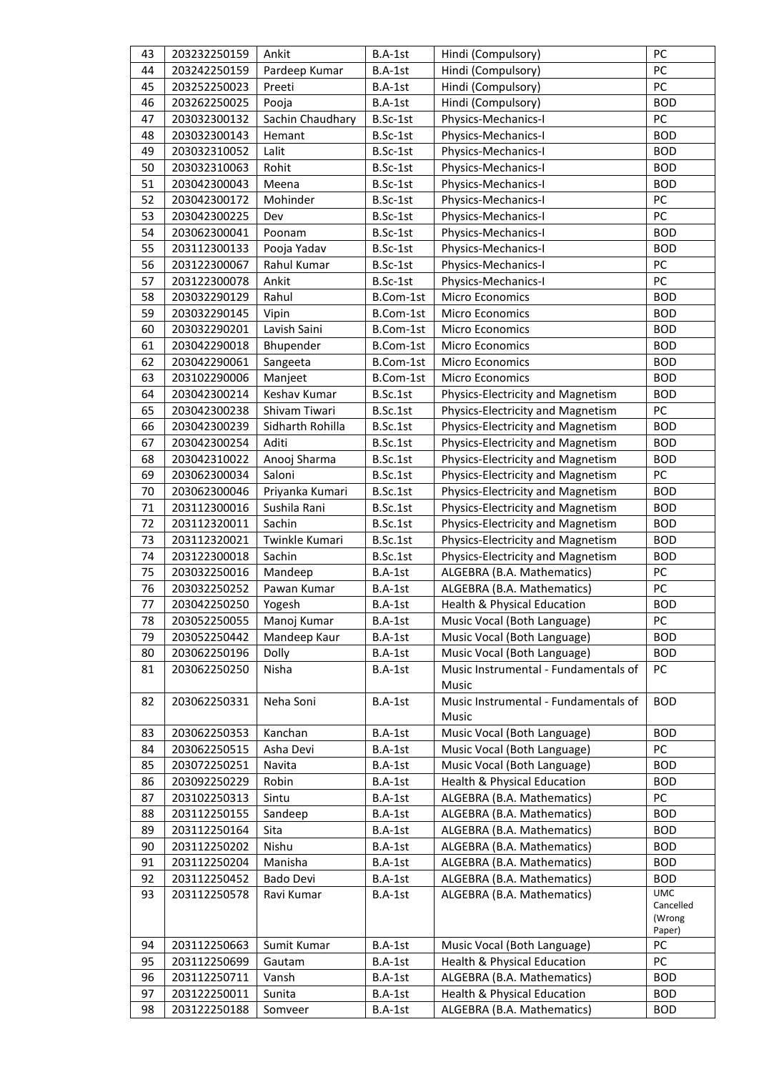| 43 | 203232250159 | Ankit            | B.A-1st    | Hindi (Compulsory)                   | PC                       |
|----|--------------|------------------|------------|--------------------------------------|--------------------------|
| 44 | 203242250159 | Pardeep Kumar    | B.A-1st    | Hindi (Compulsory)                   | PC                       |
| 45 | 203252250023 | Preeti           | B.A-1st    | Hindi (Compulsory)                   | PC                       |
| 46 | 203262250025 | Pooja            | B.A-1st    | Hindi (Compulsory)                   | <b>BOD</b>               |
| 47 | 203032300132 | Sachin Chaudhary | B.Sc-1st   | Physics-Mechanics-I                  | PC                       |
| 48 | 203032300143 | Hemant           | B.Sc-1st   | Physics-Mechanics-I                  | <b>BOD</b>               |
| 49 | 203032310052 | Lalit            | B.Sc-1st   | Physics-Mechanics-I                  | <b>BOD</b>               |
| 50 | 203032310063 | Rohit            | B.Sc-1st   | Physics-Mechanics-I                  | <b>BOD</b>               |
| 51 | 203042300043 | Meena            | B.Sc-1st   | Physics-Mechanics-I                  | <b>BOD</b>               |
| 52 | 203042300172 | Mohinder         | B.Sc-1st   | Physics-Mechanics-I                  | PC                       |
| 53 | 203042300225 | Dev              | B.Sc-1st   | Physics-Mechanics-I                  | PC                       |
| 54 | 203062300041 | Poonam           | B.Sc-1st   | Physics-Mechanics-I                  | <b>BOD</b>               |
| 55 | 203112300133 | Pooja Yadav      | $B.Sc-1st$ | Physics-Mechanics-I                  | <b>BOD</b>               |
| 56 | 203122300067 | Rahul Kumar      | B.Sc-1st   | Physics-Mechanics-I                  | PC                       |
| 57 | 203122300078 | Ankit            | B.Sc-1st   | Physics-Mechanics-I                  | PC                       |
| 58 | 203032290129 | Rahul            | B.Com-1st  | Micro Economics                      | <b>BOD</b>               |
| 59 | 203032290145 |                  | B.Com-1st  | Micro Economics                      | <b>BOD</b>               |
| 60 |              | Vipin            |            |                                      |                          |
|    | 203032290201 | Lavish Saini     | B.Com-1st  | Micro Economics                      | <b>BOD</b>               |
| 61 | 203042290018 | Bhupender        | B.Com-1st  | Micro Economics                      | <b>BOD</b>               |
| 62 | 203042290061 | Sangeeta         | B.Com-1st  | Micro Economics                      | <b>BOD</b>               |
| 63 | 203102290006 | Manjeet          | B.Com-1st  | Micro Economics                      | <b>BOD</b>               |
| 64 | 203042300214 | Keshav Kumar     | B.Sc.1st   | Physics-Electricity and Magnetism    | <b>BOD</b>               |
| 65 | 203042300238 | Shivam Tiwari    | B.Sc.1st   | Physics-Electricity and Magnetism    | PC                       |
| 66 | 203042300239 | Sidharth Rohilla | B.Sc.1st   | Physics-Electricity and Magnetism    | <b>BOD</b>               |
| 67 | 203042300254 | Aditi            | B.Sc.1st   | Physics-Electricity and Magnetism    | <b>BOD</b>               |
| 68 | 203042310022 | Anooj Sharma     | B.Sc.1st   | Physics-Electricity and Magnetism    | <b>BOD</b>               |
| 69 | 203062300034 | Saloni           | B.Sc.1st   | Physics-Electricity and Magnetism    | PC                       |
| 70 | 203062300046 | Priyanka Kumari  | B.Sc.1st   | Physics-Electricity and Magnetism    | <b>BOD</b>               |
| 71 | 203112300016 | Sushila Rani     | B.Sc.1st   | Physics-Electricity and Magnetism    | <b>BOD</b>               |
| 72 | 203112320011 | Sachin           | B.Sc.1st   | Physics-Electricity and Magnetism    | <b>BOD</b>               |
| 73 | 203112320021 | Twinkle Kumari   | B.Sc.1st   | Physics-Electricity and Magnetism    | <b>BOD</b>               |
| 74 | 203122300018 | Sachin           | B.Sc.1st   | Physics-Electricity and Magnetism    | <b>BOD</b>               |
| 75 | 203032250016 | Mandeep          | B.A-1st    | ALGEBRA (B.A. Mathematics)           | PC                       |
| 76 | 203032250252 | Pawan Kumar      | $B.A-1st$  | ALGEBRA (B.A. Mathematics)           | PC                       |
| 77 | 203042250250 | Yogesh           | B.A-1st    | Health & Physical Education          | <b>BOD</b>               |
| 78 | 203052250055 | Manoj Kumar      | $B.A-1st$  | Music Vocal (Both Language)          | PС                       |
| 79 | 203052250442 | Mandeep Kaur     | B.A-1st    | Music Vocal (Both Language)          | <b>BOD</b>               |
| 80 | 203062250196 | Dolly            | B.A-1st    | Music Vocal (Both Language)          | <b>BOD</b>               |
| 81 | 203062250250 | Nisha            | B.A-1st    | Music Instrumental - Fundamentals of | PC                       |
|    |              |                  |            | Music                                |                          |
| 82 | 203062250331 | Neha Soni        | B.A-1st    | Music Instrumental - Fundamentals of | <b>BOD</b>               |
|    |              |                  |            | Music                                |                          |
| 83 | 203062250353 | Kanchan          | B.A-1st    | Music Vocal (Both Language)          | <b>BOD</b>               |
| 84 | 203062250515 | Asha Devi        | B.A-1st    | Music Vocal (Both Language)          | PC                       |
| 85 | 203072250251 | Navita           | B.A-1st    | Music Vocal (Both Language)          | <b>BOD</b>               |
| 86 | 203092250229 | Robin            | B.A-1st    | Health & Physical Education          | <b>BOD</b>               |
| 87 | 203102250313 | Sintu            | B.A-1st    | ALGEBRA (B.A. Mathematics)           | PC                       |
| 88 | 203112250155 | Sandeep          | B.A-1st    | ALGEBRA (B.A. Mathematics)           | <b>BOD</b>               |
| 89 | 203112250164 | Sita             | B.A-1st    | ALGEBRA (B.A. Mathematics)           | <b>BOD</b>               |
| 90 | 203112250202 | Nishu            | B.A-1st    | ALGEBRA (B.A. Mathematics)           | <b>BOD</b>               |
| 91 | 203112250204 | Manisha          | B.A-1st    | ALGEBRA (B.A. Mathematics)           | <b>BOD</b>               |
| 92 | 203112250452 | <b>Bado Devi</b> | B.A-1st    | ALGEBRA (B.A. Mathematics)           |                          |
| 93 | 203112250578 | Ravi Kumar       | B.A-1st    | ALGEBRA (B.A. Mathematics)           | <b>BOD</b><br><b>UMC</b> |
|    |              |                  |            |                                      | Cancelled                |
|    |              |                  |            |                                      | (Wrong                   |
| 94 | 203112250663 | Sumit Kumar      | B.A-1st    | Music Vocal (Both Language)          | Paper)<br>PC             |
| 95 | 203112250699 |                  | B.A-1st    | Health & Physical Education          | PC                       |
|    |              | Gautam           |            |                                      | <b>BOD</b>               |
| 96 | 203112250711 | Vansh            | $B.A-1st$  | ALGEBRA (B.A. Mathematics)           |                          |
| 97 | 203122250011 | Sunita           | B.A-1st    | Health & Physical Education          | <b>BOD</b>               |
| 98 | 203122250188 | Somveer          | B.A-1st    | ALGEBRA (B.A. Mathematics)           | <b>BOD</b>               |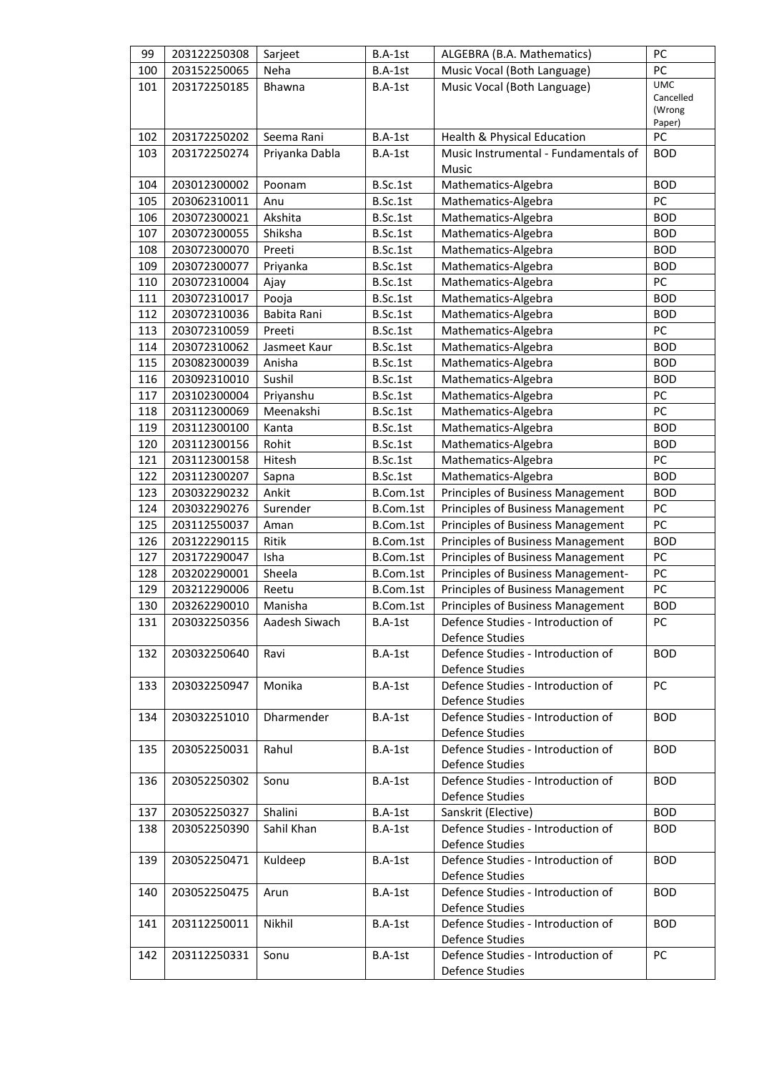| 99  | 203122250308 | Sarjeet        | B.A-1st                                | ALGEBRA (B.A. Mathematics)           | PC                  |
|-----|--------------|----------------|----------------------------------------|--------------------------------------|---------------------|
| 100 | 203152250065 | Neha           | B.A-1st<br>Music Vocal (Both Language) |                                      | PC                  |
| 101 | 203172250185 | Bhawna         | B.A-1st                                | Music Vocal (Both Language)          | <b>UMC</b>          |
|     |              |                |                                        |                                      | Cancelled<br>(Wrong |
|     |              |                |                                        |                                      | Paper)              |
| 102 | 203172250202 | Seema Rani     | B.A-1st                                | Health & Physical Education          | PC                  |
| 103 | 203172250274 | Priyanka Dabla | B.A-1st                                | Music Instrumental - Fundamentals of | <b>BOD</b>          |
|     |              |                |                                        | Music                                |                     |
| 104 | 203012300002 | Poonam         | B.Sc.1st                               | Mathematics-Algebra                  | <b>BOD</b>          |
| 105 | 203062310011 | Anu            | B.Sc.1st                               | Mathematics-Algebra                  | PC                  |
| 106 | 203072300021 | Akshita        | B.Sc.1st                               | Mathematics-Algebra                  | <b>BOD</b>          |
| 107 | 203072300055 | Shiksha        | B.Sc.1st                               | Mathematics-Algebra                  | <b>BOD</b>          |
| 108 | 203072300070 | Preeti         | B.Sc.1st                               | Mathematics-Algebra                  | <b>BOD</b>          |
| 109 | 203072300077 | Priyanka       | B.Sc.1st                               | Mathematics-Algebra                  | <b>BOD</b>          |
| 110 | 203072310004 | Ajay           | B.Sc.1st                               | Mathematics-Algebra                  | PC                  |
| 111 | 203072310017 | Pooja          | B.Sc.1st                               | Mathematics-Algebra                  | <b>BOD</b>          |
| 112 | 203072310036 | Babita Rani    | B.Sc.1st                               | Mathematics-Algebra                  | <b>BOD</b>          |
| 113 | 203072310059 | Preeti         | B.Sc.1st                               | Mathematics-Algebra                  | PC                  |
| 114 | 203072310062 | Jasmeet Kaur   | B.Sc.1st                               | Mathematics-Algebra                  | <b>BOD</b>          |
| 115 | 203082300039 | Anisha         | B.Sc.1st                               | Mathematics-Algebra                  | <b>BOD</b>          |
| 116 | 203092310010 | Sushil         | B.Sc.1st                               | Mathematics-Algebra                  | <b>BOD</b>          |
| 117 | 203102300004 | Priyanshu      | B.Sc.1st                               | Mathematics-Algebra                  | PC                  |
| 118 | 203112300069 | Meenakshi      | B.Sc.1st                               | Mathematics-Algebra                  | PC                  |
| 119 | 203112300100 | Kanta          | B.Sc.1st                               | Mathematics-Algebra                  | <b>BOD</b>          |
| 120 | 203112300156 | Rohit          | B.Sc.1st                               | Mathematics-Algebra                  | <b>BOD</b>          |
| 121 | 203112300158 | Hitesh         | B.Sc.1st                               | Mathematics-Algebra                  | PC                  |
| 122 | 203112300207 | Sapna          | B.Sc.1st                               | Mathematics-Algebra                  | <b>BOD</b>          |
| 123 | 203032290232 | Ankit          | B.Com.1st                              | Principles of Business Management    | <b>BOD</b>          |
| 124 | 203032290276 | Surender       | B.Com.1st                              | Principles of Business Management    | PC                  |
| 125 | 203112550037 | Aman           | B.Com.1st                              | Principles of Business Management    | PC                  |
| 126 | 203122290115 | Ritik          | B.Com.1st                              | Principles of Business Management    | <b>BOD</b>          |
| 127 | 203172290047 | Isha           | B.Com.1st                              | Principles of Business Management    | PC                  |
| 128 | 203202290001 | Sheela         | B.Com.1st                              | Principles of Business Management-   | PC                  |
| 129 | 203212290006 | Reetu          | B.Com.1st                              | Principles of Business Management    | PC                  |
| 130 | 203262290010 | Manisha        | B.Com.1st                              | Principles of Business Management    | <b>BOD</b>          |
| 131 | 203032250356 | Aadesh Siwach  | B.A-1st                                | Defence Studies - Introduction of    | PC.                 |
|     |              |                |                                        | Defence Studies                      |                     |
| 132 | 203032250640 | Ravi           | B.A-1st                                | Defence Studies - Introduction of    | <b>BOD</b>          |
|     |              |                |                                        | Defence Studies                      |                     |
| 133 | 203032250947 | Monika         | $B.A-1st$                              | Defence Studies - Introduction of    | <b>PC</b>           |
|     |              |                |                                        | Defence Studies                      |                     |
| 134 | 203032251010 | Dharmender     | $B.A-1st$                              | Defence Studies - Introduction of    | <b>BOD</b>          |
|     |              |                |                                        | Defence Studies                      |                     |
| 135 | 203052250031 | Rahul          | B.A-1st                                | Defence Studies - Introduction of    | <b>BOD</b>          |
|     |              |                |                                        | Defence Studies                      |                     |
| 136 | 203052250302 | Sonu           | $B.A-1st$                              | Defence Studies - Introduction of    | <b>BOD</b>          |
|     |              |                |                                        | Defence Studies                      |                     |
| 137 | 203052250327 | Shalini        | B.A-1st                                | Sanskrit (Elective)                  | <b>BOD</b>          |
| 138 | 203052250390 | Sahil Khan     | B.A-1st                                | Defence Studies - Introduction of    | <b>BOD</b>          |
|     |              |                |                                        | Defence Studies                      |                     |
| 139 | 203052250471 | Kuldeep        | B.A-1st                                | Defence Studies - Introduction of    | <b>BOD</b>          |
|     |              |                |                                        | Defence Studies                      |                     |
| 140 | 203052250475 | Arun           | $B.A-1st$                              | Defence Studies - Introduction of    | <b>BOD</b>          |
|     |              |                |                                        | Defence Studies                      |                     |
| 141 | 203112250011 | Nikhil         | $B.A-1st$                              | Defence Studies - Introduction of    | <b>BOD</b>          |
|     |              |                |                                        | Defence Studies                      |                     |
| 142 | 203112250331 | Sonu           | B.A-1st                                | Defence Studies - Introduction of    | PC                  |
|     |              |                |                                        | Defence Studies                      |                     |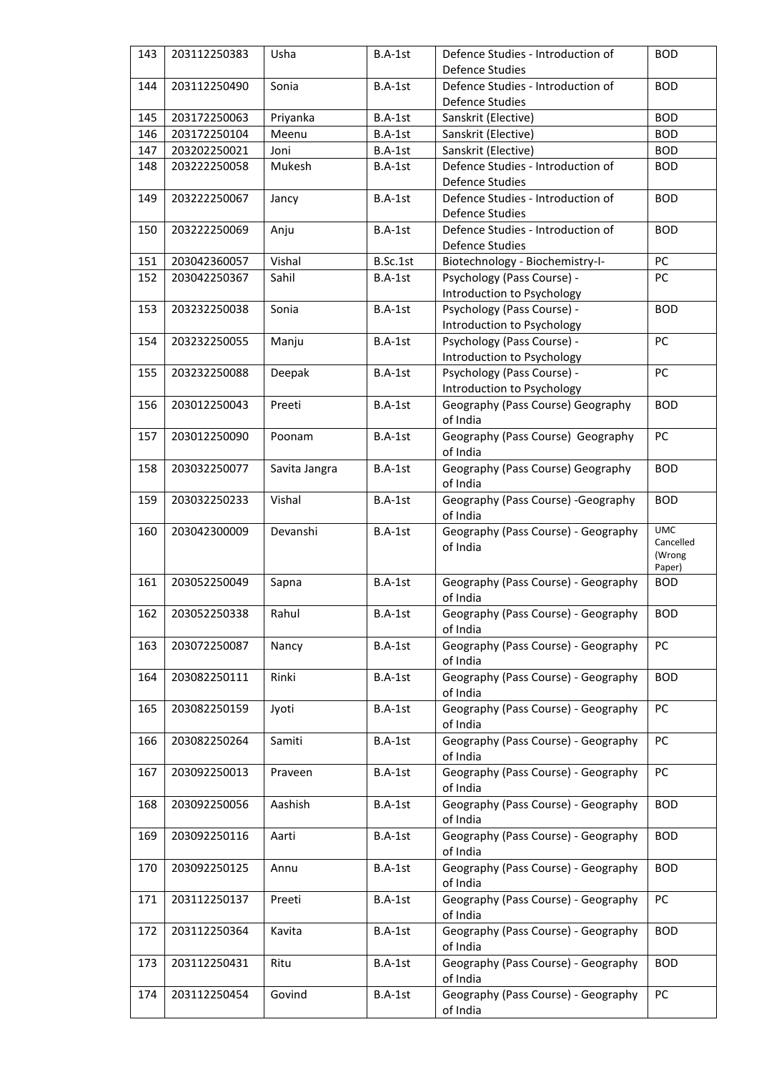| 143        | 203112250383                 | Usha           | B.A-1st                | Defence Studies - Introduction of                                                      | <b>BOD</b>                    |
|------------|------------------------------|----------------|------------------------|----------------------------------------------------------------------------------------|-------------------------------|
|            |                              |                | <b>Defence Studies</b> |                                                                                        |                               |
| 144        | 203112250490                 | Sonia          | B.A-1st                | Defence Studies - Introduction of                                                      | <b>BOD</b>                    |
|            |                              |                |                        | <b>Defence Studies</b>                                                                 |                               |
| 145        | 203172250063                 | Priyanka       | B.A-1st                | Sanskrit (Elective)                                                                    | <b>BOD</b>                    |
| 146        | 203172250104                 | Meenu          | B.A-1st                | Sanskrit (Elective)                                                                    | <b>BOD</b>                    |
| 147        | 203202250021                 | Joni           | B.A-1st                | Sanskrit (Elective)                                                                    | <b>BOD</b>                    |
| 148        | 203222250058                 | Mukesh         | B.A-1st                | Defence Studies - Introduction of                                                      | <b>BOD</b>                    |
|            |                              |                |                        | <b>Defence Studies</b>                                                                 |                               |
| 149        | 203222250067                 | Jancy          | B.A-1st                | Defence Studies - Introduction of<br><b>Defence Studies</b>                            | <b>BOD</b>                    |
| 150        | 203222250069                 | Anju           | B.A-1st                | Defence Studies - Introduction of<br><b>Defence Studies</b>                            | <b>BOD</b>                    |
| 151        | 203042360057                 | Vishal         | B.Sc.1st               | Biotechnology - Biochemistry-I-                                                        | PC                            |
| 152        | 203042250367                 | Sahil          | B.A-1st                | Psychology (Pass Course) -                                                             | PC                            |
|            |                              |                |                        | Introduction to Psychology                                                             |                               |
| 153        | 203232250038                 | Sonia          | B.A-1st                | Psychology (Pass Course) -<br>Introduction to Psychology                               | <b>BOD</b>                    |
| 154        | 203232250055                 | Manju          | $B.A-1st$              | Psychology (Pass Course) -                                                             | PC                            |
|            |                              |                |                        | Introduction to Psychology                                                             |                               |
| 155        | 203232250088                 | Deepak         | B.A-1st                | Psychology (Pass Course) -                                                             | PC                            |
|            |                              |                |                        | Introduction to Psychology                                                             |                               |
| 156        | 203012250043                 | Preeti         | B.A-1st                | Geography (Pass Course) Geography<br>of India                                          | <b>BOD</b>                    |
| 157        | 203012250090                 | Poonam         | B.A-1st                | Geography (Pass Course) Geography<br>of India                                          | PC                            |
| 158        | 203032250077                 | Savita Jangra  | B.A-1st                | Geography (Pass Course) Geography<br>of India                                          | <b>BOD</b>                    |
| 159        | 203032250233                 | Vishal         | B.A-1st                | Geography (Pass Course) - Geography<br>of India                                        | <b>BOD</b>                    |
| 160        | 203042300009                 | Devanshi       | B.A-1st                | Geography (Pass Course) - Geography                                                    | <b>UMC</b>                    |
|            |                              |                |                        | of India                                                                               | Cancelled<br>(Wrong<br>Paper) |
| 161        | 203052250049                 | Sapna          | B.A-1st                | Geography (Pass Course) - Geography<br>of India                                        | <b>BOD</b>                    |
| 162        | 203052250338                 | Rahul          | B.A-1st                | Geography (Pass Course) - Geography<br>of India                                        | <b>BOD</b>                    |
| 163        | 203072250087                 | Nancy          | B.A-1st                | Geography (Pass Course) - Geography                                                    | PC                            |
|            |                              |                |                        | of India                                                                               |                               |
| 164        | 203082250111                 | Rinki          | B.A-1st                | Geography (Pass Course) - Geography                                                    | <b>BOD</b>                    |
| 165        | 203082250159                 | Jyoti          | B.A-1st                | of India<br>Geography (Pass Course) - Geography                                        | PC                            |
|            |                              |                |                        |                                                                                        |                               |
| 166        |                              |                |                        | of India                                                                               |                               |
|            | 203082250264                 | Samiti         | B.A-1st                | Geography (Pass Course) - Geography<br>of India                                        | PC                            |
| 167        | 203092250013                 | Praveen        | B.A-1st                | Geography (Pass Course) - Geography<br>of India                                        | PC                            |
| 168        | 203092250056                 | Aashish        | B.A-1st                | Geography (Pass Course) - Geography                                                    | <b>BOD</b>                    |
| 169        | 203092250116                 | Aarti          | B.A-1st                | of India<br>Geography (Pass Course) - Geography                                        | <b>BOD</b>                    |
| 170        | 203092250125                 | Annu           | B.A-1st                | of India<br>Geography (Pass Course) - Geography                                        | <b>BOD</b>                    |
| 171        | 203112250137                 | Preeti         | B.A-1st                | of India<br>Geography (Pass Course) - Geography                                        | PC                            |
| 172        | 203112250364                 | Kavita         | B.A-1st                | of India<br>Geography (Pass Course) - Geography                                        | <b>BOD</b>                    |
|            |                              |                |                        | of India                                                                               |                               |
| 173<br>174 | 203112250431<br>203112250454 | Ritu<br>Govind | B.A-1st<br>B.A-1st     | Geography (Pass Course) - Geography<br>of India<br>Geography (Pass Course) - Geography | <b>BOD</b><br>PC              |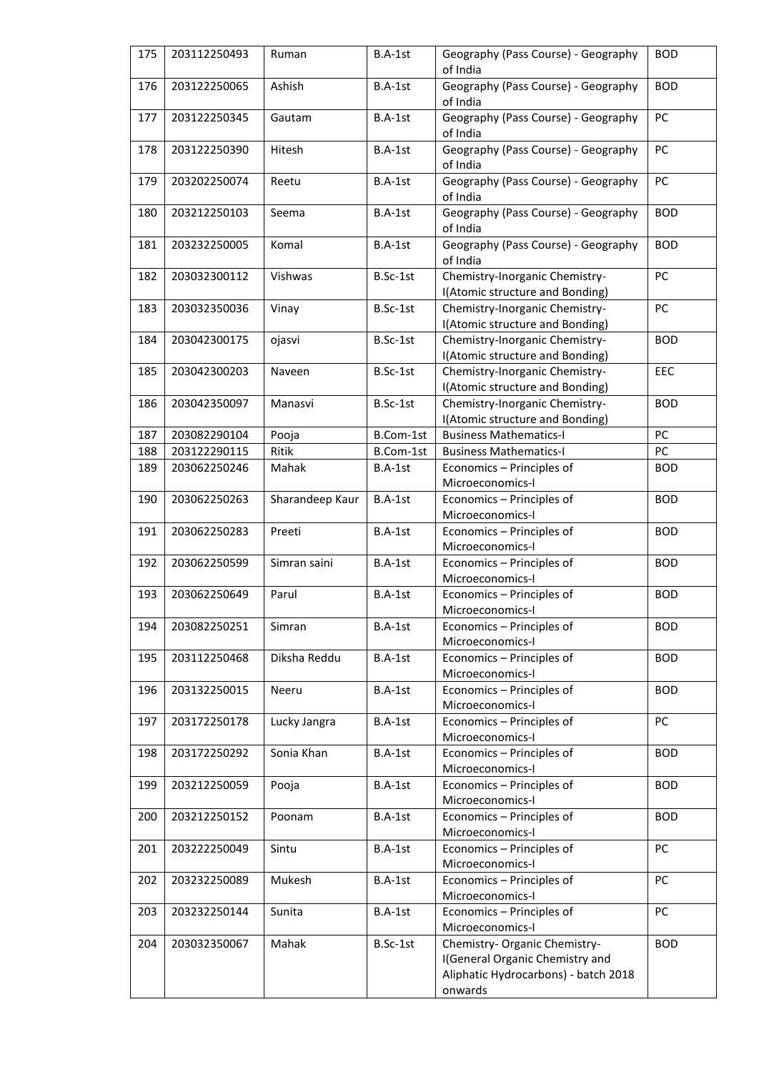| 175 | 203112250493 | Ruman           | B.A-1st   | Geography (Pass Course) - Geography<br><b>BOD</b><br>of India     |            |
|-----|--------------|-----------------|-----------|-------------------------------------------------------------------|------------|
| 176 | 203122250065 | Ashish          | B.A-1st   | Geography (Pass Course) - Geography<br>of India                   | <b>BOD</b> |
| 177 | 203122250345 | Gautam          | B.A-1st   | Geography (Pass Course) - Geography<br>of India                   | PC         |
| 178 | 203122250390 | Hitesh          | B.A-1st   | Geography (Pass Course) - Geography<br>of India                   | PC         |
| 179 | 203202250074 | Reetu           | B.A-1st   | Geography (Pass Course) - Geography<br>of India                   | PC         |
| 180 | 203212250103 | Seema           | B.A-1st   | Geography (Pass Course) - Geography<br>of India                   | <b>BOD</b> |
| 181 | 203232250005 | Komal           | B.A-1st   | Geography (Pass Course) - Geography<br>of India                   | <b>BOD</b> |
| 182 | 203032300112 | Vishwas         | B.Sc-1st  | Chemistry-Inorganic Chemistry-<br>I(Atomic structure and Bonding) | PC         |
| 183 | 203032350036 | Vinay           | B.Sc-1st  | Chemistry-Inorganic Chemistry-<br>I(Atomic structure and Bonding) | PC         |
| 184 | 203042300175 | ojasvi          | B.Sc-1st  | Chemistry-Inorganic Chemistry-<br>I(Atomic structure and Bonding) | <b>BOD</b> |
| 185 | 203042300203 | Naveen          | B.Sc-1st  | Chemistry-Inorganic Chemistry-<br>I(Atomic structure and Bonding) | EEC        |
| 186 | 203042350097 | Manasvi         | B.Sc-1st  | Chemistry-Inorganic Chemistry-<br>I(Atomic structure and Bonding) | <b>BOD</b> |
| 187 | 203082290104 | Pooja           | B.Com-1st | <b>Business Mathematics-I</b>                                     | PC         |
| 188 | 203122290115 | Ritik           | B.Com-1st | <b>Business Mathematics-I</b>                                     | PC         |
| 189 | 203062250246 | Mahak           | B.A-1st   | Economics - Principles of                                         | <b>BOD</b> |
|     |              |                 |           | Microeconomics-I                                                  |            |
| 190 | 203062250263 | Sharandeep Kaur | B.A-1st   | Economics - Principles of<br>Microeconomics-I                     | <b>BOD</b> |
| 191 | 203062250283 | Preeti          | B.A-1st   | Economics - Principles of<br>Microeconomics-I                     | <b>BOD</b> |
| 192 | 203062250599 | Simran saini    | B.A-1st   | Economics - Principles of<br>Microeconomics-I                     | <b>BOD</b> |
| 193 | 203062250649 | Parul           | B.A-1st   | Economics - Principles of<br>Microeconomics-I                     | <b>BOD</b> |
| 194 | 203082250251 | Simran          | B.A-1st   | Economics - Principles of<br>Microeconomics-I                     | <b>BOD</b> |
| 195 | 203112250468 | Diksha Reddu    | B.A-1st   | Economics - Principles of<br>Microeconomics-I                     | <b>BOD</b> |
| 196 | 203132250015 | Neeru           | B.A-1st   | Economics - Principles of<br>Microeconomics-I                     | <b>BOD</b> |
| 197 | 203172250178 | Lucky Jangra    | B.A-1st   | Economics - Principles of<br>Microeconomics-I                     | PC         |
| 198 | 203172250292 | Sonia Khan      | B.A-1st   | Economics - Principles of<br>Microeconomics-I                     | <b>BOD</b> |
| 199 | 203212250059 | Pooja           | B.A-1st   | Economics - Principles of<br>Microeconomics-I                     | <b>BOD</b> |
| 200 | 203212250152 | Poonam          | B.A-1st   | Economics - Principles of<br>Microeconomics-I                     | <b>BOD</b> |
| 201 | 203222250049 | Sintu           | B.A-1st   | Economics - Principles of<br>Microeconomics-I                     | PC         |
| 202 | 203232250089 | Mukesh          | B.A-1st   | Economics - Principles of<br>Microeconomics-I                     | PC         |
| 203 | 203232250144 | Sunita          | B.A-1st   | Economics - Principles of<br>Microeconomics-I                     | PC         |
| 204 | 203032350067 | Mahak           | B.Sc-1st  | Chemistry- Organic Chemistry-                                     | <b>BOD</b> |
|     |              |                 |           | I(General Organic Chemistry and                                   |            |
|     |              |                 |           | Aliphatic Hydrocarbons) - batch 2018                              |            |
|     |              |                 |           | onwards                                                           |            |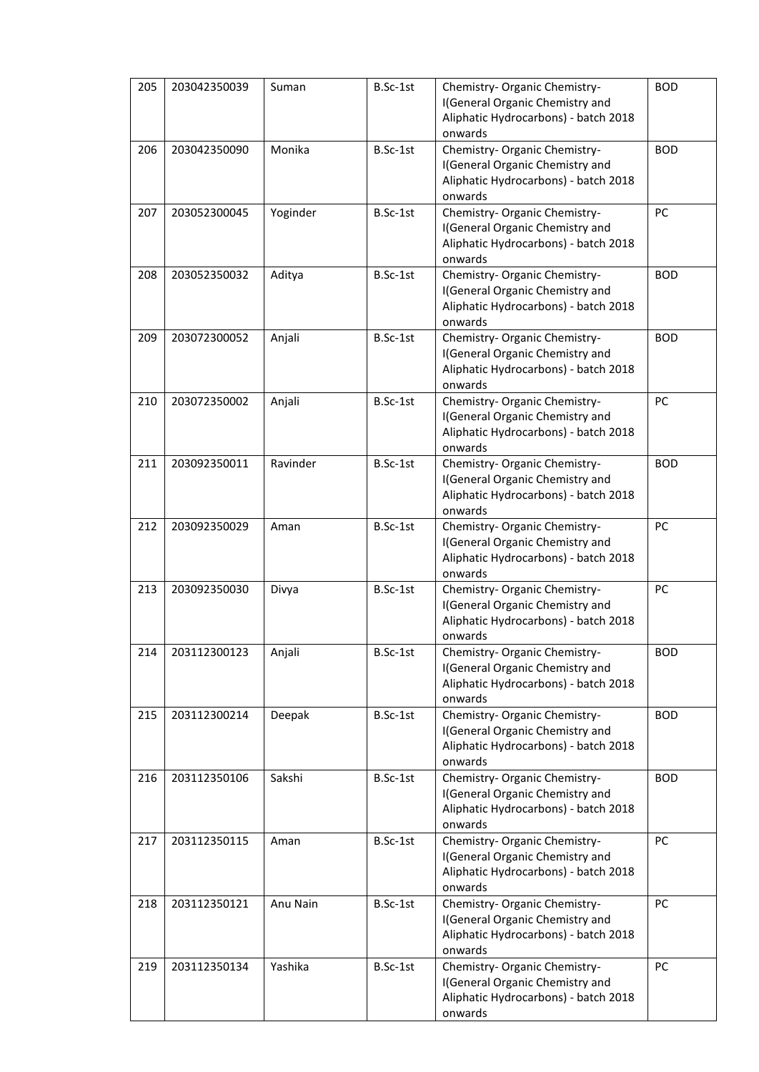| 205 | 203042350039 | Suman    | B.Sc-1st | Chemistry- Organic Chemistry-                                           | <b>BOD</b> |
|-----|--------------|----------|----------|-------------------------------------------------------------------------|------------|
|     |              |          |          | I(General Organic Chemistry and<br>Aliphatic Hydrocarbons) - batch 2018 |            |
|     |              |          |          | onwards                                                                 |            |
| 206 | 203042350090 | Monika   | B.Sc-1st | Chemistry- Organic Chemistry-                                           | <b>BOD</b> |
|     |              |          |          | I(General Organic Chemistry and                                         |            |
|     |              |          |          | Aliphatic Hydrocarbons) - batch 2018                                    |            |
|     |              |          |          | onwards                                                                 |            |
| 207 | 203052300045 | Yoginder | B.Sc-1st | Chemistry- Organic Chemistry-                                           | PC         |
|     |              |          |          | I(General Organic Chemistry and                                         |            |
|     |              |          |          | Aliphatic Hydrocarbons) - batch 2018                                    |            |
| 208 | 203052350032 | Aditya   | B.Sc-1st | onwards<br>Chemistry- Organic Chemistry-                                | <b>BOD</b> |
|     |              |          |          | I(General Organic Chemistry and                                         |            |
|     |              |          |          | Aliphatic Hydrocarbons) - batch 2018                                    |            |
|     |              |          |          | onwards                                                                 |            |
| 209 | 203072300052 | Anjali   | B.Sc-1st | Chemistry- Organic Chemistry-                                           | <b>BOD</b> |
|     |              |          |          | I(General Organic Chemistry and                                         |            |
|     |              |          |          | Aliphatic Hydrocarbons) - batch 2018                                    |            |
|     |              |          |          | onwards                                                                 |            |
| 210 | 203072350002 | Anjali   | B.Sc-1st | Chemistry- Organic Chemistry-                                           | PC         |
|     |              |          |          | I(General Organic Chemistry and                                         |            |
|     |              |          |          | Aliphatic Hydrocarbons) - batch 2018                                    |            |
|     |              |          |          | onwards                                                                 |            |
| 211 | 203092350011 | Ravinder | B.Sc-1st | Chemistry- Organic Chemistry-                                           | <b>BOD</b> |
|     |              |          |          | I(General Organic Chemistry and<br>Aliphatic Hydrocarbons) - batch 2018 |            |
|     |              |          |          | onwards                                                                 |            |
| 212 | 203092350029 | Aman     | B.Sc-1st | Chemistry- Organic Chemistry-                                           | PC         |
|     |              |          |          | I(General Organic Chemistry and                                         |            |
|     |              |          |          | Aliphatic Hydrocarbons) - batch 2018                                    |            |
|     |              |          |          | onwards                                                                 |            |
| 213 | 203092350030 | Divya    | B.Sc-1st | Chemistry- Organic Chemistry-                                           | PC         |
|     |              |          |          | I(General Organic Chemistry and                                         |            |
|     |              |          |          | Aliphatic Hydrocarbons) - batch 2018                                    |            |
|     |              |          |          | onwards                                                                 |            |
| 214 | 203112300123 | Anjali   | B.Sc-1st | Chemistry- Organic Chemistry-                                           | <b>BOD</b> |
|     |              |          |          | I(General Organic Chemistry and<br>Aliphatic Hydrocarbons) - batch 2018 |            |
|     |              |          |          | onwards                                                                 |            |
| 215 | 203112300214 | Deepak   | B.Sc-1st | Chemistry- Organic Chemistry-                                           | <b>BOD</b> |
|     |              |          |          | I(General Organic Chemistry and                                         |            |
|     |              |          |          | Aliphatic Hydrocarbons) - batch 2018                                    |            |
|     |              |          |          | onwards                                                                 |            |
| 216 | 203112350106 | Sakshi   | B.Sc-1st | Chemistry- Organic Chemistry-                                           | <b>BOD</b> |
|     |              |          |          | I(General Organic Chemistry and                                         |            |
|     |              |          |          | Aliphatic Hydrocarbons) - batch 2018                                    |            |
|     |              |          |          | onwards                                                                 |            |
| 217 | 203112350115 | Aman     | B.Sc-1st | Chemistry- Organic Chemistry-                                           | PC         |
|     |              |          |          | I(General Organic Chemistry and                                         |            |
|     |              |          |          | Aliphatic Hydrocarbons) - batch 2018<br>onwards                         |            |
| 218 | 203112350121 | Anu Nain | B.Sc-1st | Chemistry- Organic Chemistry-                                           | PC         |
|     |              |          |          | I(General Organic Chemistry and                                         |            |
|     |              |          |          | Aliphatic Hydrocarbons) - batch 2018                                    |            |
|     |              |          |          | onwards                                                                 |            |
| 219 | 203112350134 | Yashika  | B.Sc-1st | Chemistry- Organic Chemistry-                                           | PC         |
|     |              |          |          | I(General Organic Chemistry and                                         |            |
|     |              |          |          | Aliphatic Hydrocarbons) - batch 2018                                    |            |
|     |              |          |          | onwards                                                                 |            |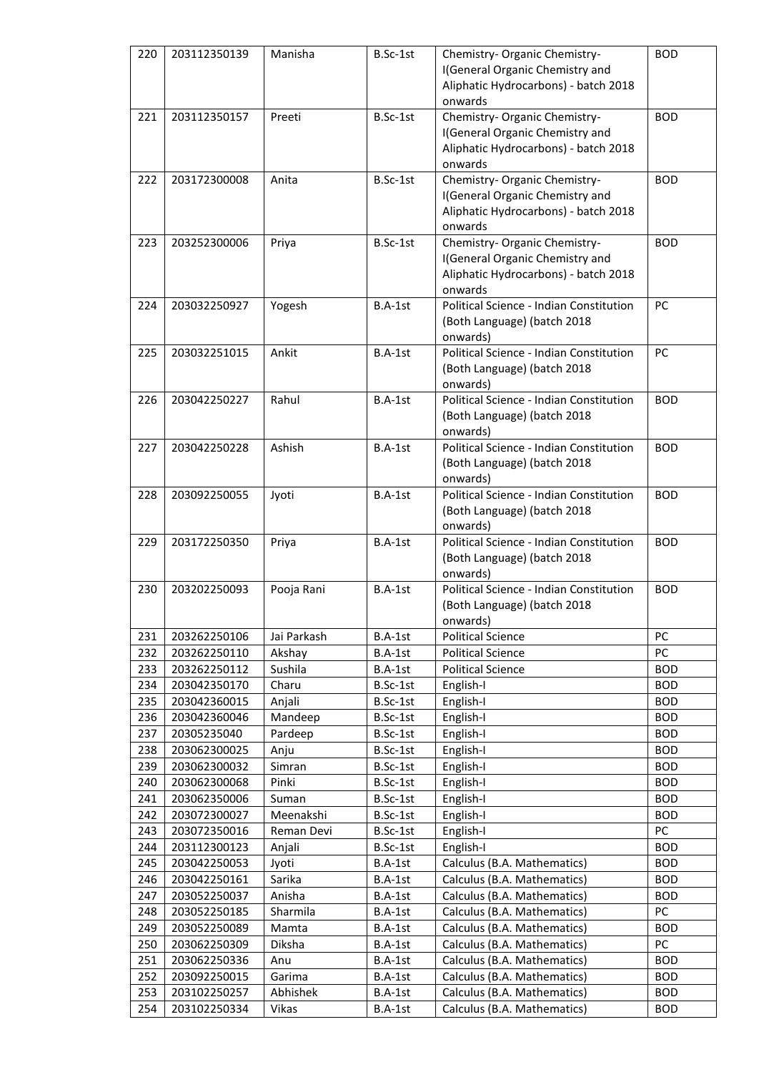| 220 | 203112350139 | Manisha     | B.Sc-1st | Chemistry- Organic Chemistry-                       | <b>BOD</b> |
|-----|--------------|-------------|----------|-----------------------------------------------------|------------|
|     |              |             |          | I(General Organic Chemistry and                     |            |
|     |              |             |          | Aliphatic Hydrocarbons) - batch 2018                |            |
|     |              |             |          | onwards                                             |            |
| 221 | 203112350157 | Preeti      | B.Sc-1st | Chemistry- Organic Chemistry-                       | <b>BOD</b> |
|     |              |             |          | I(General Organic Chemistry and                     |            |
|     |              |             |          | Aliphatic Hydrocarbons) - batch 2018                |            |
|     |              |             |          | onwards                                             |            |
| 222 | 203172300008 | Anita       | B.Sc-1st | Chemistry- Organic Chemistry-                       | <b>BOD</b> |
|     |              |             |          | I(General Organic Chemistry and                     |            |
|     |              |             |          | Aliphatic Hydrocarbons) - batch 2018                |            |
|     |              |             |          | onwards                                             |            |
| 223 | 203252300006 | Priya       | B.Sc-1st | Chemistry- Organic Chemistry-                       | <b>BOD</b> |
|     |              |             |          | I(General Organic Chemistry and                     |            |
|     |              |             |          | Aliphatic Hydrocarbons) - batch 2018                |            |
|     |              |             |          | onwards                                             |            |
| 224 | 203032250927 | Yogesh      | B.A-1st  | Political Science - Indian Constitution             | PC         |
|     |              |             |          | (Both Language) (batch 2018                         |            |
|     |              |             |          | onwards)                                            |            |
| 225 | 203032251015 | Ankit       | B.A-1st  | Political Science - Indian Constitution             | PC         |
|     |              |             |          | (Both Language) (batch 2018                         |            |
|     |              |             |          | onwards)                                            |            |
| 226 | 203042250227 | Rahul       | B.A-1st  | Political Science - Indian Constitution             | <b>BOD</b> |
|     |              |             |          | (Both Language) (batch 2018                         |            |
|     |              |             |          | onwards)                                            |            |
| 227 | 203042250228 | Ashish      | B.A-1st  | Political Science - Indian Constitution             | <b>BOD</b> |
|     |              |             |          | (Both Language) (batch 2018                         |            |
|     | 203092250055 |             |          | onwards)<br>Political Science - Indian Constitution | <b>BOD</b> |
| 228 |              | Jyoti       | B.A-1st  | (Both Language) (batch 2018                         |            |
|     |              |             |          | onwards)                                            |            |
| 229 | 203172250350 | Priya       | B.A-1st  | Political Science - Indian Constitution             | <b>BOD</b> |
|     |              |             |          | (Both Language) (batch 2018                         |            |
|     |              |             |          |                                                     |            |
|     |              |             |          |                                                     |            |
|     |              |             |          | onwards)<br>Political Science - Indian Constitution |            |
| 230 | 203202250093 | Pooja Rani  | B.A-1st  |                                                     | <b>BOD</b> |
|     |              |             |          | (Both Language) (batch 2018                         |            |
| 231 | 203262250106 | Jai Parkash | B.A-1st  | onwards)<br><b>Political Science</b>                | PC         |
| 232 | 203262250110 | Akshay      | B.A-1st  | <b>Political Science</b>                            | PC         |
| 233 | 203262250112 | Sushila     | B.A-1st  | <b>Political Science</b>                            | <b>BOD</b> |
| 234 | 203042350170 | Charu       | B.Sc-1st | English-I                                           | <b>BOD</b> |
| 235 | 203042360015 | Anjali      | B.Sc-1st | English-I                                           | <b>BOD</b> |
| 236 | 203042360046 | Mandeep     | B.Sc-1st | English-I                                           | <b>BOD</b> |
| 237 | 20305235040  | Pardeep     | B.Sc-1st | English-I                                           | <b>BOD</b> |
| 238 | 203062300025 | Anju        | B.Sc-1st | English-I                                           | <b>BOD</b> |
| 239 | 203062300032 | Simran      | B.Sc-1st | English-I                                           | <b>BOD</b> |
| 240 | 203062300068 | Pinki       | B.Sc-1st | English-I                                           | <b>BOD</b> |
| 241 | 203062350006 | Suman       | B.Sc-1st | English-I                                           | <b>BOD</b> |
| 242 | 203072300027 | Meenakshi   | B.Sc-1st | English-I                                           | <b>BOD</b> |
| 243 | 203072350016 | Reman Devi  | B.Sc-1st | English-I                                           | PC         |
| 244 | 203112300123 | Anjali      | B.Sc-1st | English-I                                           | <b>BOD</b> |
| 245 | 203042250053 | Jyoti       | B.A-1st  | Calculus (B.A. Mathematics)                         | <b>BOD</b> |
| 246 | 203042250161 | Sarika      | B.A-1st  | Calculus (B.A. Mathematics)                         | <b>BOD</b> |
| 247 | 203052250037 | Anisha      | B.A-1st  | Calculus (B.A. Mathematics)                         | <b>BOD</b> |
| 248 | 203052250185 | Sharmila    | B.A-1st  | Calculus (B.A. Mathematics)                         | PC         |
| 249 | 203052250089 | Mamta       | B.A-1st  | Calculus (B.A. Mathematics)                         | <b>BOD</b> |
| 250 | 203062250309 | Diksha      | B.A-1st  | Calculus (B.A. Mathematics)                         | PC         |
| 251 | 203062250336 | Anu         | B.A-1st  | Calculus (B.A. Mathematics)                         | <b>BOD</b> |
| 252 | 203092250015 | Garima      | B.A-1st  | Calculus (B.A. Mathematics)                         | <b>BOD</b> |
| 253 | 203102250257 | Abhishek    | B.A-1st  | Calculus (B.A. Mathematics)                         | <b>BOD</b> |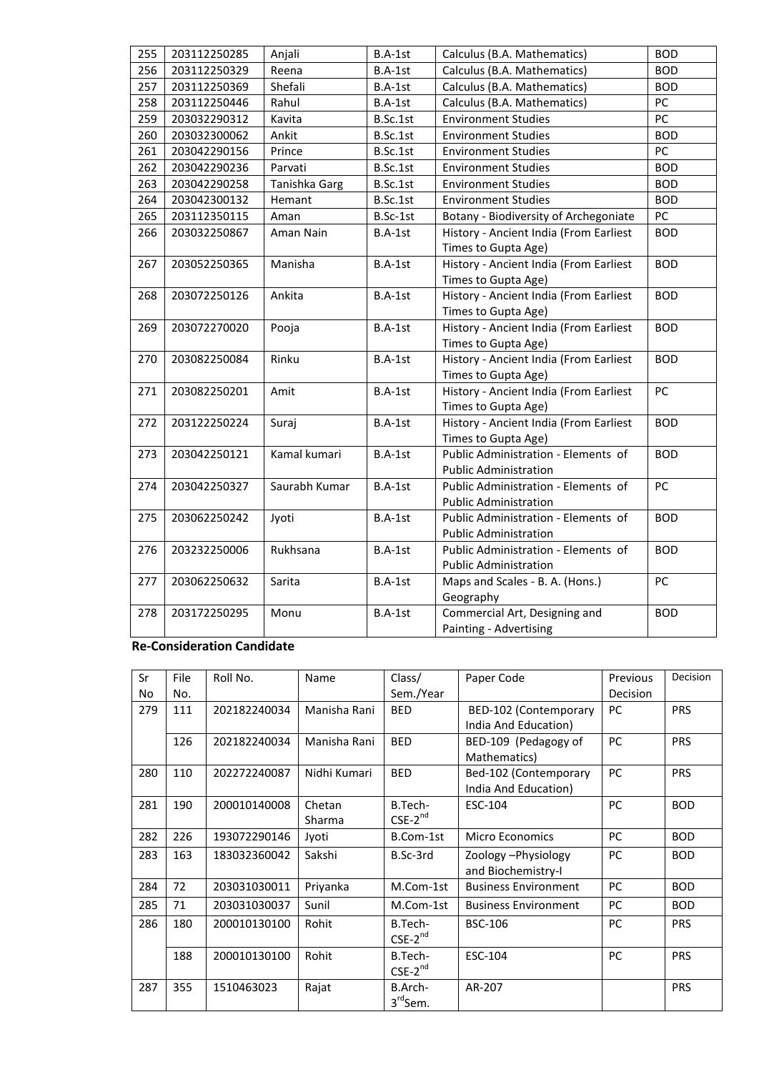| 255 | 203112250285 | Anjali        | B.A-1st<br>Calculus (B.A. Mathematics) |                                        | <b>BOD</b> |
|-----|--------------|---------------|----------------------------------------|----------------------------------------|------------|
| 256 | 203112250329 | Reena         | B.A-1st                                | Calculus (B.A. Mathematics)            | <b>BOD</b> |
| 257 | 203112250369 | Shefali       | B.A-1st                                | Calculus (B.A. Mathematics)            | <b>BOD</b> |
| 258 | 203112250446 | Rahul         | B.A-1st                                | Calculus (B.A. Mathematics)            | PC         |
| 259 | 203032290312 | Kavita        | B.Sc.1st                               | <b>Environment Studies</b>             | PC         |
| 260 | 203032300062 | Ankit         | B.Sc.1st                               | <b>Environment Studies</b>             | <b>BOD</b> |
| 261 | 203042290156 | Prince        | B.Sc.1st                               | <b>Environment Studies</b>             | PC         |
| 262 | 203042290236 | Parvati       | B.Sc.1st                               | <b>Environment Studies</b>             | <b>BOD</b> |
| 263 | 203042290258 | Tanishka Garg | B.Sc.1st                               | <b>Environment Studies</b>             | <b>BOD</b> |
| 264 | 203042300132 | Hemant        | B.Sc.1st                               | <b>Environment Studies</b>             | <b>BOD</b> |
| 265 | 203112350115 | Aman          | B.Sc-1st                               | Botany - Biodiversity of Archegoniate  | PC         |
| 266 | 203032250867 | Aman Nain     | $B.A-1st$                              | History - Ancient India (From Earliest | <b>BOD</b> |
|     |              |               |                                        | Times to Gupta Age)                    |            |
| 267 | 203052250365 | Manisha       | B.A-1st                                | History - Ancient India (From Earliest | <b>BOD</b> |
|     |              |               |                                        | Times to Gupta Age)                    |            |
| 268 | 203072250126 | Ankita        | B.A-1st                                | History - Ancient India (From Earliest | <b>BOD</b> |
|     |              |               |                                        | Times to Gupta Age)                    |            |
| 269 | 203072270020 | Pooja         | B.A-1st                                | History - Ancient India (From Earliest | <b>BOD</b> |
|     |              |               |                                        | Times to Gupta Age)                    |            |
| 270 | 203082250084 | Rinku         | B.A-1st                                | History - Ancient India (From Earliest | <b>BOD</b> |
|     |              |               |                                        | Times to Gupta Age)                    |            |
| 271 | 203082250201 | Amit          | B.A-1st                                | History - Ancient India (From Earliest | PC         |
|     |              |               |                                        | Times to Gupta Age)                    |            |
| 272 | 203122250224 | Suraj         | B.A-1st                                | History - Ancient India (From Earliest | <b>BOD</b> |
|     |              |               |                                        | Times to Gupta Age)                    |            |
| 273 | 203042250121 | Kamal kumari  | B.A-1st                                | Public Administration - Elements of    | <b>BOD</b> |
|     |              |               |                                        | <b>Public Administration</b>           |            |
| 274 | 203042250327 | Saurabh Kumar | B.A-1st                                | Public Administration - Elements of    | PC         |
|     |              |               |                                        | <b>Public Administration</b>           |            |
| 275 | 203062250242 | Jyoti         | B.A-1st                                | Public Administration - Elements of    | <b>BOD</b> |
|     |              |               |                                        | <b>Public Administration</b>           |            |
| 276 | 203232250006 | Rukhsana      | B.A-1st                                | Public Administration - Elements of    | <b>BOD</b> |
|     |              |               |                                        | <b>Public Administration</b>           |            |
| 277 | 203062250632 | Sarita        | B.A-1st                                | Maps and Scales - B. A. (Hons.)        | PC         |
|     |              |               |                                        | Geography                              |            |
| 278 | 203172250295 | Monu          | B.A-1st                                | Commercial Art, Designing and          | <b>BOD</b> |
|     |              |               |                                        | Painting - Advertising                 |            |

## **Re-Consideration Candidate**

| Sr  | File | Roll No.     | Name         | Class/              | Paper Code                  | Previous  | Decision   |
|-----|------|--------------|--------------|---------------------|-----------------------------|-----------|------------|
| No  | No.  |              |              | Sem./Year           |                             | Decision  |            |
| 279 | 111  | 202182240034 | Manisha Rani | <b>BED</b>          | BED-102 (Contemporary       | <b>PC</b> | <b>PRS</b> |
|     |      |              |              |                     | India And Education)        |           |            |
|     | 126  | 202182240034 | Manisha Rani | <b>BED</b>          | BED-109 (Pedagogy of        | <b>PC</b> | <b>PRS</b> |
|     |      |              |              |                     | Mathematics)                |           |            |
| 280 | 110  | 202272240087 | Nidhi Kumari | <b>BED</b>          | Bed-102 (Contemporary       | PC        | <b>PRS</b> |
|     |      |              |              |                     | India And Education)        |           |            |
| 281 | 190  | 200010140008 | Chetan       | B.Tech-             | ESC-104                     | PC        | <b>BOD</b> |
|     |      |              | Sharma       | $CSE-2^{nd}$        |                             |           |            |
| 282 | 226  | 193072290146 | Jyoti        | B.Com-1st           | <b>Micro Economics</b>      | PC        | <b>BOD</b> |
| 283 | 163  | 183032360042 | Sakshi       | B.Sc-3rd            | Zoology - Physiology        | PC        | <b>BOD</b> |
|     |      |              |              |                     | and Biochemistry-I          |           |            |
| 284 | 72   | 203031030011 | Priyanka     | M.Com-1st           | <b>Business Environment</b> | PC        | <b>BOD</b> |
| 285 | 71   | 203031030037 | Sunil        | M.Com-1st           | <b>Business Environment</b> | PC        | <b>BOD</b> |
| 286 | 180  | 200010130100 | Rohit        | B.Tech-             | <b>BSC-106</b>              | PC        | <b>PRS</b> |
|     |      |              |              | $CSE-2^{nd}$        |                             |           |            |
|     | 188  | 200010130100 | Rohit        | B.Tech-             | ESC-104                     | PC        | <b>PRS</b> |
|     |      |              |              | $CSE-2^{nd}$        |                             |           |            |
| 287 | 355  | 1510463023   | Rajat        | B.Arch-             | AR-207                      |           | <b>PRS</b> |
|     |      |              |              | 3rd <sub>Sem.</sub> |                             |           |            |